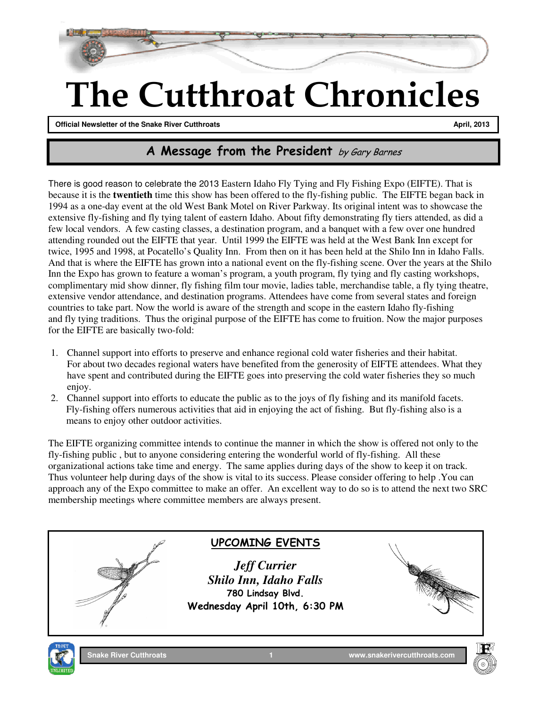

# The Cutthroat Chronicles

**Official Newsletter of the Snake River Cutthroats April, 2013 April, 2013** 

**January 2010December 2009**

 $\overline{\phantom{a}}$ 

## A Message from the President by Gary Barnes

There is good reason to celebrate the 2013 Eastern Idaho Fly Tying and Fly Fishing Expo (EIFTE). That is because it is the **twentieth** time this show has been offered to the fly-fishing public. The EIFTE began back in 1994 as a one-day event at the old West Bank Motel on River Parkway. Its original intent was to showcase the extensive fly-fishing and fly tying talent of eastern Idaho. About fifty demonstrating fly tiers attended, as did a few local vendors. A few casting classes, a destination program, and a banquet with a few over one hundred attending rounded out the EIFTE that year. Until 1999 the EIFTE was held at the West Bank Inn except for twice, 1995 and 1998, at Pocatello's Quality Inn. From then on it has been held at the Shilo Inn in Idaho Falls. And that is where the EIFTE has grown into a national event on the fly-fishing scene. Over the years at the Shilo Inn the Expo has grown to feature a woman's program, a youth program, fly tying and fly casting workshops, complimentary mid show dinner, fly fishing film tour movie, ladies table, merchandise table, a fly tying theatre, extensive vendor attendance, and destination programs. Attendees have come from several states and foreign countries to take part. Now the world is aware of the strength and scope in the eastern Idaho fly-fishing and fly tying traditions. Thus the original purpose of the EIFTE has come to fruition. Now the major purposes for the EIFTE are basically two-fold:

- 1. Channel support into efforts to preserve and enhance regional cold water fisheries and their habitat. For about two decades regional waters have benefited from the generosity of EIFTE attendees. What they have spent and contributed during the EIFTE goes into preserving the cold water fisheries they so much enjoy.
- 2. Channel support into efforts to educate the public as to the joys of fly fishing and its manifold facets. Fly-fishing offers numerous activities that aid in enjoying the act of fishing. But fly-fishing also is a means to enjoy other outdoor activities.

The EIFTE organizing committee intends to continue the manner in which the show is offered not only to the fly-fishing public , but to anyone considering entering the wonderful world of fly-fishing. All these organizational actions take time and energy. The same applies during days of the show to keep it on track. Thus volunteer help during days of the show is vital to its success. Please consider offering to help .You can approach any of the Expo committee to make an offer. An excellent way to do so is to attend the next two SRC membership meetings where committee members are always present.

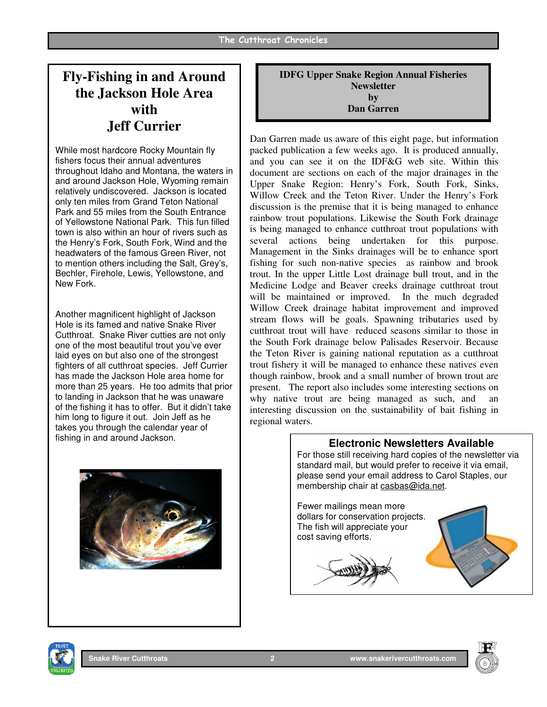## **Fly-Fishing in and Around the Jackson Hole Area with Jeff Currier**

While most hardcore Rocky Mountain fly fishers focus their annual adventures throughout Idaho and Montana, the waters in and around Jackson Hole, Wyoming remain relatively undiscovered. Jackson is located only ten miles from Grand Teton National Park and 55 miles from the South Entrance of Yellowstone National Park. This fun filled town is also within an hour of rivers such as the Henry's Fork, South Fork, Wind and the headwaters of the famous Green River, not to mention others including the Salt, Grey's, Bechler, Firehole, Lewis, Yellowstone, and New Fork.

Another magnificent highlight of Jackson Hole is its famed and native Snake River Cutthroat. Snake River cutties are not only one of the most beautiful trout you've ever laid eyes on but also one of the strongest fighters of all cutthroat species. Jeff Currier has made the Jackson Hole area home for more than 25 years. He too admits that prior to landing in Jackson that he was unaware of the fishing it has to offer. But it didn't take him long to figure it out. Join Jeff as he takes you through the calendar year of fishing in and around Jackson.



**IDFG Upper Snake Region Annual Fisheries Newsletter by Dan Garren**

Dan Garren made us aware of this eight page, but information packed publication a few weeks ago. It is produced annually, and you can see it on the IDF&G web site. Within this document are sections on each of the major drainages in the Upper Snake Region: Henry's Fork, South Fork, Sinks, Willow Creek and the Teton River. Under the Henry's Fork discussion is the premise that it is being managed to enhance rainbow trout populations. Likewise the South Fork drainage is being managed to enhance cutthroat trout populations with several actions being undertaken for this purpose. Management in the Sinks drainages will be to enhance sport fishing for such non-native species as rainbow and brook trout. In the upper Little Lost drainage bull trout, and in the Medicine Lodge and Beaver creeks drainage cutthroat trout will be maintained or improved. In the much degraded Willow Creek drainage habitat improvement and improved stream flows will be goals. Spawning tributaries used by cutthroat trout will have reduced seasons similar to those in the South Fork drainage below Palisades Reservoir. Because the Teton River is gaining national reputation as a cutthroat trout fishery it will be managed to enhance these natives even though rainbow, brook and a small number of brown trout are present. The report also includes some interesting sections on why native trout are being managed as such, and interesting discussion on the sustainability of bait fishing in regional waters.





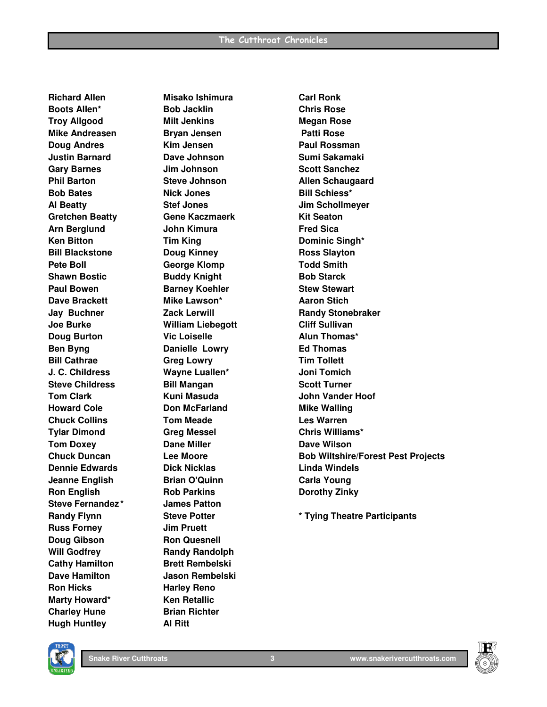**Richard Allen Misako Ishimura Carl Ronk Boots Allen\* Bob Jacklin Chris Rose Troy Allgood Milt Jenkins Megan Rose Mike Andreasen Bryan Jensen Patti Rose Doug Andres Communist Communist Communist Communist Communist Paul Rossman Justin Barnard Dave Johnson Sumi Sakamaki Gary Barnes Jim Johnson Scott Sanchez Phil Barton Steve Johnson Allen Schaugaard Bob Bates Nick Jones Bill Schiess\* Al Beatty Stef Jones Jim Schollmeyer**  Gretchen Beatty **Gene Kaczmaerk** Kit Seaton Arn Berglund **John Kimura** Fred Sica **Ken Bitton Tim King Committed Bitton Committee Singh\* Bill Blackstone Doug Kinney Ross Slayton**  Pete Boll **George Klomp** Todd Smith **Shawn Bostic Buddy Knight Bob Starck Chamber Bob Starck** Paul Bowen **Barney Koehler** Stew Stewart **Dave Brackett Mike Lawson\* Aaron Stich by Angle A Joe Burke William Liebegott Cliff Sullivan Doug Burton Conserversity Conserversity Conserversity Conserversity Conserversity Conserversity Conserversity Ben Byng Communist Communist Danielle Lowry Communist Communist Ed Thomas Bill Cathrae Circle Greg Lowry Contract Circle Tim Tollett J. C. Childress Wayne Luallen\* Joni Tomich Steve Childress Bill Mangan Scott Turner Communist Communist Communist Communist Communist Communist Communist Communist Communist Communist Communist Communist Communist Communist Communist Communist Communist Communist Howard Cole Cole Collection Don McFarland Mike Walling Mike Walling Chuck Collins Tom Meade Les Warren Tylar Dimond Greg Messel Chris Williams\* Tom Doxey Cane Miller Community Community Dave Wilson Dennie Edwards Dick Nicklas Linda Windels Jeanne English Brian O'Quinn Carla Young Carla Young Ron English Rob Parkins Constructs Borothy Zinky Steve Fernandez \* James Patton Russ Forney Jim Pruett Doug Gibson Ron Quesnell Will Godfrey Communist Randy Randolph Cathy Hamilton Brett Rembelski Dave Hamilton Jason Rembelski Ron Hicks Harley Reno Marty Howard\*** Ken Retallic **Charley Hune Brian Richter Hugh Huntley Al Ritt** 

**Jay Buchner Zack Lerwill Randy Stonebraker Tom Clark Clark Clark Kuni Masuda Masuda Mark John Vander Hoof Chuck Duncan Lee Moore Bob Wiltshire/Forest Pest Projects**

**Randy Flynn Steve Potter \* Tying Theatre Participants** 



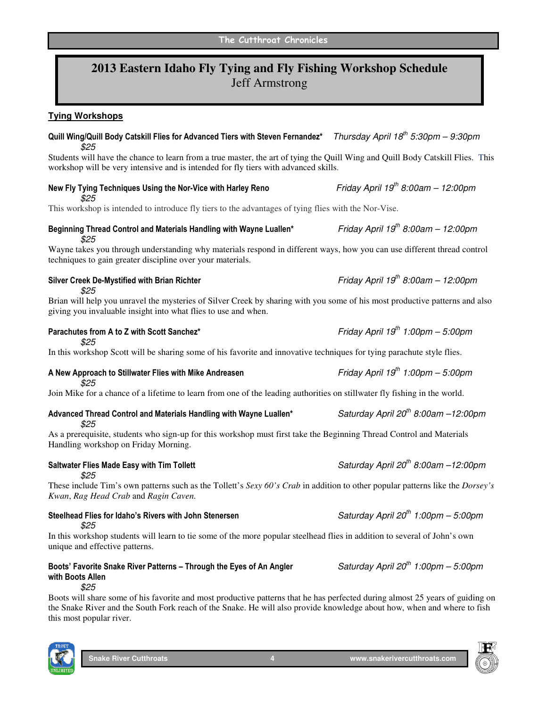## **2013 Eastern Idaho Fly Tying and Fly Fishing Workshop Schedule**  Jeff Armstrong

### **Tying Workshops**

## Quill Wing/Quill Body Catskill Flies for Advanced Tiers with Steven Fernandez\* Thursday April 18<sup>th</sup> 5:30pm – 9:30pm \$25 Students will have the chance to learn from a true master, the art of tying the Quill Wing and Quill Body Catskill Flies. This workshop will be very intensive and is intended for fly tiers with advanced skills. New Fly Tying Techniques Using the Nor-Vice with Harley Reno Friday April 19<sup>th</sup> 8:00am – 12:00pm \$25 This workshop is intended to introduce fly tiers to the advantages of tying flies with the Nor-Vise. Beginning Thread Control and Materials Handling with Wayne Luallen\* Friday April 19<sup>th</sup> 8:00am – 12:00pm \$25 Wayne takes you through understanding why materials respond in different ways, how you can use different thread control techniques to gain greater discipline over your materials. Silver Creek De-Mystified with Brian Richter Friday April 19<sup>th</sup> 8:00am – 12:00pm \$25 Brian will help you unravel the mysteries of Silver Creek by sharing with you some of his most productive patterns and also giving you invaluable insight into what flies to use and when. Parachutes from A to Z with Scott Sanchez\* Friday April 19<sup>th</sup> 1:00pm – 5:00pm \$25 In this workshop Scott will be sharing some of his favorite and innovative techniques for tying parachute style flies. A New Approach to Stillwater Flies with Mike Andreasen  $Frid$  Friday April 19<sup>th</sup> 1:00pm – 5:00pm \$25 Join Mike for a chance of a lifetime to learn from one of the leading authorities on stillwater fly fishing in the world. Advanced Thread Control and Materials Handling with Wayne Luallen\* Saturday April 20<sup>th</sup> 8:00am –12:00pm \$25 As a prerequisite, students who sign-up for this workshop must first take the Beginning Thread Control and Materials Handling workshop on Friday Morning. Saltwater Flies Made Easy with Tim Tollett Saturday April 20<sup>th</sup> 8:00am –12:00pm \$25 These include Tim's own patterns such as the Tollett's *Sexy 60's Crab* in addition to other popular patterns like the *Dorsey's Kwan*, *Rag Head Crab* and *Ragin Caven.*  Steelhead Flies for Idaho's Rivers with John Stenersen Saturday April 20<sup>th</sup> 1:00pm – 5:00pm

\$25

In this workshop students will learn to tie some of the more popular steelhead flies in addition to several of John's own unique and effective patterns.

### Boots' Favorite Snake River Patterns – Through the Eyes of An Angler Saturday April 20<sup>th</sup> 1:00pm – 5:00pm with Boots Allen \$25

Boots will share some of his favorite and most productive patterns that he has perfected during almost 25 years of guiding on the Snake River and the South Fork reach of the Snake. He will also provide knowledge about how, when and where to fish this most popular river.



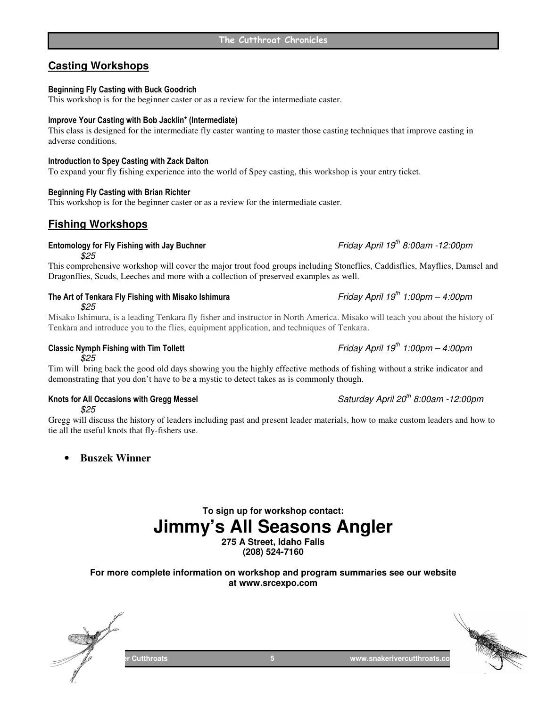## **Casting Workshops**

### Beginning Fly Casting with Buck Goodrich

This workshop is for the beginner caster or as a review for the intermediate caster.

### Improve Your Casting with Bob Jacklin\* (Intermediate)

### This class is designed for the intermediate fly caster wanting to master those casting techniques that improve casting in adverse conditions.

### Introduction to Spey Casting with Zack Dalton

To expand your fly fishing experience into the world of Spey casting, this workshop is your entry ticket.

### Beginning Fly Casting with Brian Richter

This workshop is for the beginner caster or as a review for the intermediate caster.

### **Fishing Workshops**

## Entomology for Fly Fishing with Jay Buchner  $Friday$  April 19<sup>th</sup> 8:00am -12:00pm

\$25

This comprehensive workshop will cover the major trout food groups including Stoneflies, Caddisflies, Mayflies, Damsel and Dragonflies, Scuds, Leeches and more with a collection of preserved examples as well.

The Art of Tenkara Fly Fishing with Misako Ishimura Friday April 19<sup>th</sup> 1:00pm – 4:00pm \$25

Misako Ishimura, is a leading Tenkara fly fisher and instructor in North America. Misako will teach you about the history of Tenkara and introduce you to the flies, equipment application, and techniques of Tenkara.

\$25

Tim will bring back the good old days showing you the highly effective methods of fishing without a strike indicator and demonstrating that you don't have to be a mystic to detect takes as is commonly though.

## \$25

Gregg will discuss the history of leaders including past and present leader materials, how to make custom leaders and how to tie all the useful knots that fly-fishers use.

• **Buszek Winner** 

## **To sign up for workshop contact: Jimmy's All Seasons Angler**

**275 A Street, Idaho Falls (208) 524-7160** 

**For more complete information on workshop and program summaries see our website at www.srcexpo.com**



## Classic Nymph Fishing with Tim Tollett Friday April 19<sup>th</sup> 1:00pm – 4:00pm

Knots for All Occasions with Gregg Messel  $Saturday$  April 20<sup>th</sup> 8:00am -12:00pm

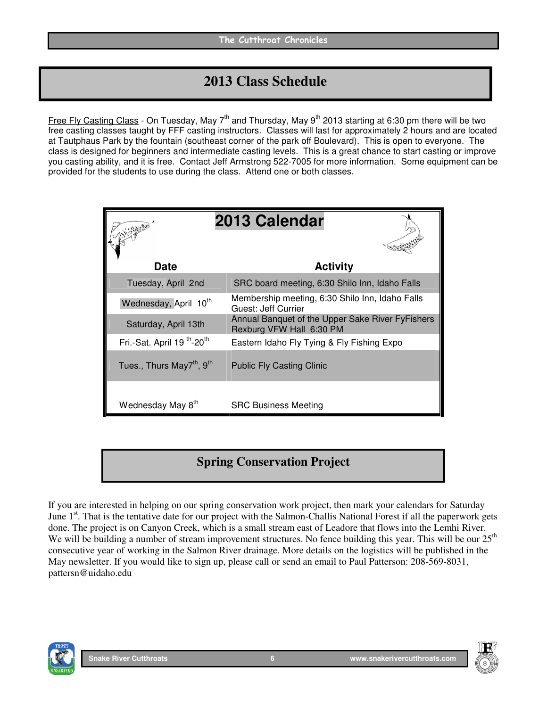## **2013 Class Schedule**

Free Fly Casting Class - On Tuesday, May 7<sup>th</sup> and Thursday, May 9<sup>th</sup> 2013 starting at 6:30 pm there will be two free casting classes taught by FFF casting instructors. Classes will last for approximately 2 hours and are located at Tautphaus Park by the fountain (southeast corner of the park off Boulevard). This is open to everyone. The class is designed for beginners and intermediate casting levels. This is a great chance to start casting or improve you casting ability, and it is free. Contact Jeff Armstrong 522-7005 for more information. Some equipment can be provided for the students to use during the class. Attend one or both classes.

|                                                    | 2013 Calendar                                                                |
|----------------------------------------------------|------------------------------------------------------------------------------|
| Date                                               | <b>Activity</b>                                                              |
| Tuesday, April 2nd                                 | SRC board meeting, 6:30 Shilo Inn, Idaho Falls                               |
| Wednesday, April 10 <sup>th</sup>                  | Membership meeting, 6:30 Shilo Inn, Idaho Falls<br>Guest: Jeff Currier       |
| Saturday, April 13th                               | Annual Banquet of the Upper Sake River FyFishers<br>Rexburg VFW Hall 6:30 PM |
| Fri.-Sat. April 19 <sup>th</sup> -20 <sup>th</sup> | Eastern Idaho Fly Tying & Fly Fishing Expo                                   |
| Tues., Thurs May7 <sup>th</sup> , 9 <sup>th</sup>  | <b>Public Fly Casting Clinic</b>                                             |
| Wednesday May 8th                                  | <b>SRC Business Meeting</b>                                                  |

## **Spring Conservation Project**

If you are interested in helping on our spring conservation work project, then mark your calendars for Saturday June 1<sup>st</sup>. That is the tentative date for our project with the Salmon-Challis National Forest if all the paperwork gets done. The project is on Canyon Creek, which is a small stream east of Leadore that flows into the Lemhi River. We will be building a number of stream improvement structures. No fence building this year. This will be our  $25<sup>th</sup>$ consecutive year of working in the Salmon River drainage. More details on the logistics will be published in the May newsletter. If you would like to sign up, please call or send an email to Paul Patterson: 208-569-8031, pattersn@uidaho.edu



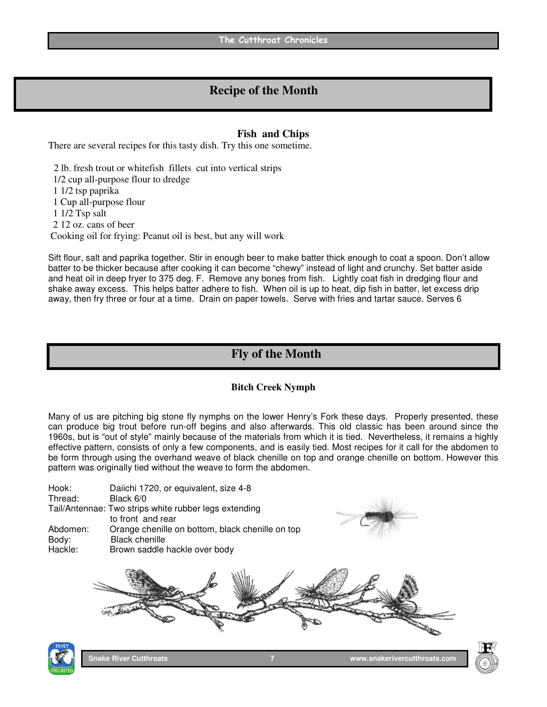## **Recipe of the Month**

### **Fish and Chips**

There are several recipes for this tasty dish. Try this one sometime.

 2 lb. fresh trout or whitefish fillets cut into vertical strips 1/2 cup all-purpose flour to dredge 1 1/2 tsp paprika 1 Cup all-purpose flour 1 1/2 Tsp salt 2 12 oz. cans of beer Cooking oil for frying: Peanut oil is best, but any will work

Sift flour, salt and paprika together. Stir in enough beer to make batter thick enough to coat a spoon. Don't allow batter to be thicker because after cooking it can become "chewy" instead of light and crunchy. Set batter aside and heat oil in deep fryer to 375 deg. F. Remove any bones from fish. Lightly coat fish in dredging flour and shake away excess. This helps batter adhere to fish. When oil is up to heat, dip fish in batter, let excess drip away, then fry three or four at a time. Drain on paper towels. Serve with fries and tartar sauce. Serves 6

## **Fly of the Month**

## **Bitch Creek Nymph**

Many of us are pitching big stone fly nymphs on the lower Henry's Fork these days. Properly presented, these can produce big trout before run-off begins and also afterwards. This old classic has been around since the 1960s, but is "out of style" mainly because of the materials from which it is tied. Nevertheless, it remains a highly effective pattern, consists of only a few components, and is easily tied. Most recipes for it call for the abdomen to be form through using the overhand weave of black chenille on top and orange chenille on bottom. However this pattern was originally tied without the weave to form the abdomen.

| Hook:<br>Thread:             | Daiichi 1720, or equivalent, size 4-8<br>Black 6/0<br>Tail/Antennae: Two strips white rubber legs extending<br>to front and rear |
|------------------------------|----------------------------------------------------------------------------------------------------------------------------------|
| Abdomen:<br>Body:<br>Hackle: | Orange chenille on bottom, black chenille on top<br><b>Black chenille</b><br>Brown saddle hackle over body                       |
|                              |                                                                                                                                  |